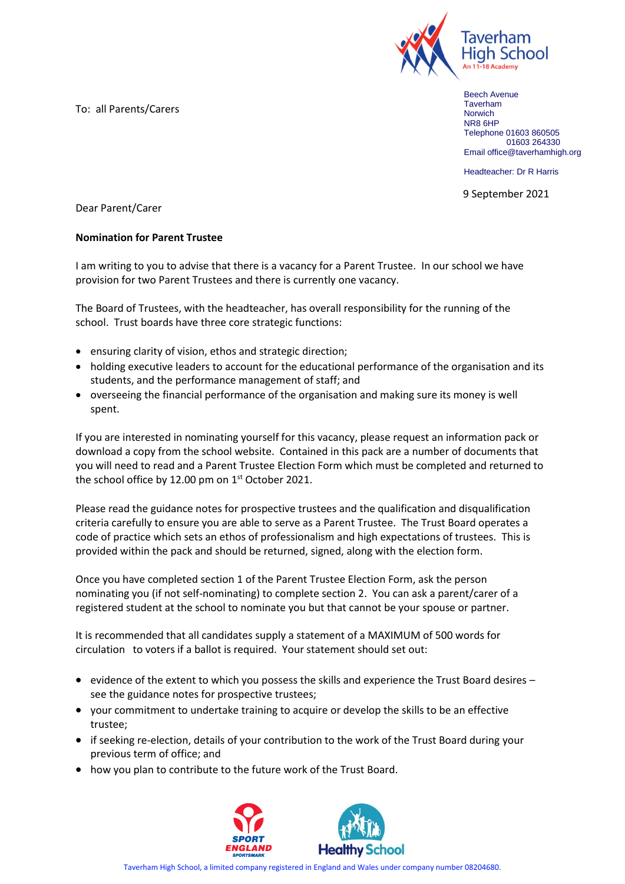To: all Parents/Carers



Beech Avenue Taverham **Norwich** NR8 6HP Telephone 01603 860505 01603 264330 Email office@taverhamhigh.org

Headteacher: Dr R Harris

9 September 2021

Dear Parent/Carer

## **Nomination for Parent Trustee**

I am writing to you to advise that there is a vacancy for a Parent Trustee. In our school we have provision for two Parent Trustees and there is currently one vacancy.

The Board of Trustees, with the headteacher, has overall responsibility for the running of the school. Trust boards have three core strategic functions:

- ensuring clarity of vision, ethos and strategic direction;
- holding executive leaders to account for the educational performance of the organisation and its students, and the performance management of staff; and
- overseeing the financial performance of the organisation and making sure its money is well spent.

If you are interested in nominating yourself for this vacancy, please request an information pack or download a copy from the school website. Contained in this pack are a number of documents that you will need to read and a Parent Trustee Election Form which must be completed and returned to the school office by 12.00 pm on  $1<sup>st</sup>$  October 2021.

Please read the guidance notes for prospective trustees and the qualification and disqualification criteria carefully to ensure you are able to serve as a Parent Trustee. The Trust Board operates a code of practice which sets an ethos of professionalism and high expectations of trustees. This is provided within the pack and should be returned, signed, along with the election form.

Once you have completed section 1 of the Parent Trustee Election Form, ask the person nominating you (if not self-nominating) to complete section 2. You can ask a parent/carer of a registered student at the school to nominate you but that cannot be your spouse or partner.

It is recommended that all candidates supply a statement of a MAXIMUM of 500 words for circulation to voters if a ballot is required. Your statement should set out:

- evidence of the extent to which you possess the skills and experience the Trust Board desires see the guidance notes for prospective trustees;
- your commitment to undertake training to acquire or develop the skills to be an effective trustee;
- if seeking re-election, details of your contribution to the work of the Trust Board during your previous term of office; and
- how you plan to contribute to the future work of the Trust Board.